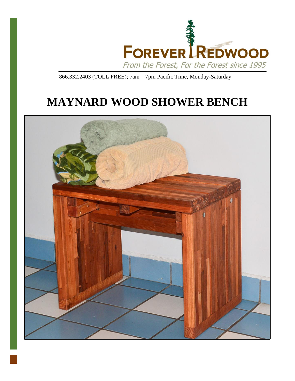

866.332.2403 (TOLL FREE); 7am – 7pm Pacific Time, Monday-Saturday

# **MAYNARD WOOD SHOWER BENCH**

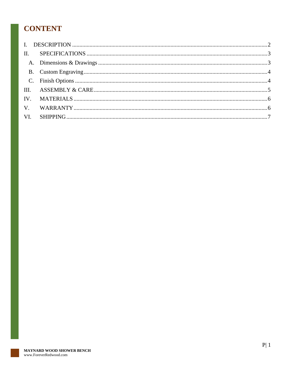# **CONTENT**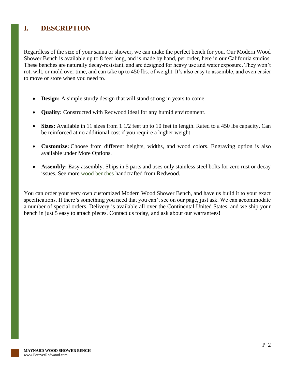## <span id="page-2-0"></span>**I. DESCRIPTION**

Regardless of the size of your sauna or shower, we can make the perfect bench for you. Our Modern Wood Shower Bench is available up to 8 feet long, and is made by hand, per order, here in our California studios. These benches are naturally decay-resistant, and are designed for heavy use and water exposure. They won't rot, wilt, or mold over time, and can take up to 450 lbs. of weight. It's also easy to assemble, and even easier to move or store when you need to.

- **Design:** A simple sturdy design that will stand strong in years to come.
- **Quality:** Constructed with Redwood ideal for any humid environment.
- **Sizes:** Available in 11 sizes from 1 1/2 feet up to 10 feet in length. Rated to a 450 lbs capacity. Can be reinforced at no additional cost if you require a higher weight.
- **Customize:** Choose from different heights, widths, and wood colors. Engraving option is also available under More Options.
- **Assembly:** Easy assembly. Ships in 5 parts and uses only stainless steel bolts for zero rust or decay issues. See more [wood benches](https://www.foreverredwood.com/wooden-patio-furniture/benches.html) handcrafted from Redwood.

You can order your very own customized Modern Wood Shower Bench, and have us build it to your exact specifications. If there's something you need that you can't see on our page, just ask. We can accommodate a number of special orders. Delivery is available all over the Continental United States, and we ship your bench in just 5 easy to attach pieces. Contact us today, and ask about our warrantees!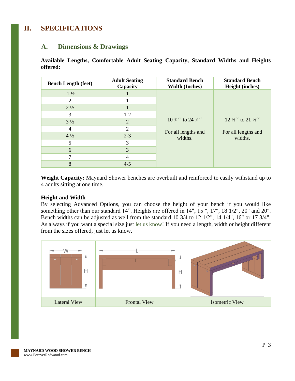## <span id="page-3-1"></span><span id="page-3-0"></span>**II. SPECIFICATIONS**

#### **A. Dimensions & Drawings**

**Available Lengths, Comfortable Adult Seating Capacity, Standard Widths and Heights offered:**

| <b>Bench Length (feet)</b> | <b>Adult Seating</b><br>Capacity | <b>Standard Bench</b><br><b>Width (Inches)</b>                        | <b>Standard Bench</b><br><b>Height (inches)</b>           |
|----------------------------|----------------------------------|-----------------------------------------------------------------------|-----------------------------------------------------------|
| $1\frac{1}{2}$             |                                  | $10\frac{3}{4}$ to 24 $\frac{3}{4}$<br>For all lengths and<br>widths. | $12\frac{1}{2}$ to $21\frac{1}{2}$<br>For all lengths and |
| 2                          |                                  |                                                                       |                                                           |
| $2\frac{1}{2}$             |                                  |                                                                       |                                                           |
| 3                          | $1-2$                            |                                                                       |                                                           |
| $3\frac{1}{2}$             | $\overline{2}$                   |                                                                       |                                                           |
| 4                          | 2                                |                                                                       |                                                           |
| $4\frac{1}{2}$             | $2 - 3$                          |                                                                       | widths.                                                   |
| 5                          | 3                                |                                                                       |                                                           |
| 6                          | 3                                |                                                                       |                                                           |
|                            | 4                                |                                                                       |                                                           |
| 8                          | $4 - 5$                          |                                                                       |                                                           |

**Weight Capacity:** Maynard Shower benches are overbuilt and reinforced to easily withstand up to 4 adults sitting at one time.

#### **Height and Width**

By selecting Advanced Options, you can choose the height of your bench if you would like something other than our standard 14". Heights are offered in 14", 15 ", 17", 18 1/2", 20" and 20". Bench widths can be adjusted as well from the standard 10 3/4 to 12 1/2", 14 1/4", 16" or 17 3/4". As always if you want a special size just [let us know!](https://www.foreverredwood.com/contacts) If you need a length, width or height different from the sizes offered, just let us know.

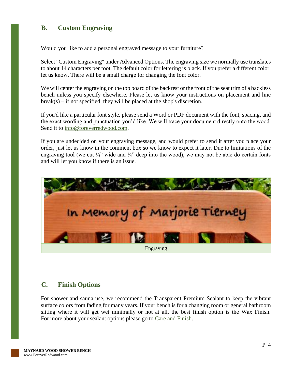#### <span id="page-4-0"></span>**B. Custom Engraving**

Would you like to add a personal engraved message to your furniture?

Select "Custom Engraving" under Advanced Options. The engraving size we normally use translates to about 14 characters per foot. The default color for lettering is black. If you prefer a different color, let us know. There will be a small charge for changing the font color.

We will center the engraving on the top board of the backrest or the front of the seat trim of a backless bench unless you specify elsewhere. Please let us know your instructions on placement and line  $break(s)$  – if not specified, they will be placed at the shop's discretion.

If you'd like a particular font style, please send a Word or PDF document with the font, spacing, and the exact wording and punctuation you'd like. We will trace your document directly onto the wood. Send it to [info@foreverredwood.com.](mailto:info@foreverredwood.com)

If you are undecided on your engraving message, and would prefer to send it after you place your order, just let us know in the comment box so we know to expect it later. Due to limitations of the engraving tool (we cut  $\frac{1}{4}$ " wide and  $\frac{1}{4}$ " deep into the wood), we may not be able do certain fonts and will let you know if there is an issue.



#### <span id="page-4-1"></span>**C. Finish Options**

For shower and sauna use, we recommend the Transparent Premium Sealant to keep the vibrant surface colors from fading for many years. If your bench is for a changing room or general bathroom sitting where it will get wet minimally or not at all, the best finish option is the Wax Finish. For more about your sealant options please go to [Care and Finish.](https://www.foreverredwood.com/redwood-furniture/care-finish)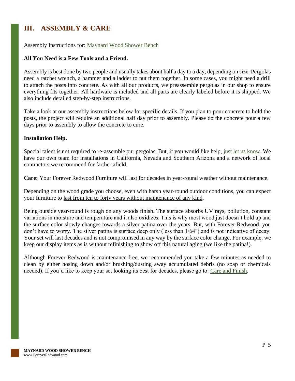# <span id="page-5-0"></span>**III. ASSEMBLY & CARE**

#### Assembly Instructions for: [Maynard Wood Shower Bench](https://www.foreverredwood.com/media/pdf/assembly/Maynard_Wood_Shower_Bench.pdf)

#### **All You Need is a Few Tools and a Friend.**

Assembly is best done by two people and usually takes about half a day to a day, depending on size. Pergolas need a ratchet wrench, a hammer and a ladder to put them together. In some cases, you might need a drill to attach the posts into concrete. As with all our products, we preassemble pergolas in our shop to ensure everything fits together. All hardware is included and all parts are clearly labeled before it is shipped. We also include detailed step-by-step instructions.

Take a look at our assembly instructions below for specific details. If you plan to pour concrete to hold the posts, the project will require an additional half day prior to assembly. Please do the concrete pour a few days prior to assembly to allow the concrete to cure.

#### **Installation Help.**

Special talent is not required to re-assemble our pergolas. But, if you would like help, [just let us know.](https://www.foreverredwood.com/information/contact) We have our own team for installations in California, Nevada and Southern Arizona and a network of local contractors we recommend for farther afield.

**Care:** Your Forever Redwood Furniture will last for decades in year-round weather without maintenance.

Depending on the wood grade you choose, even with harsh year-round outdoor conditions, you can expect your furniture to last from ten to forty years without maintenance of any kind.

Being outside year-round is rough on any woods finish. The surface absorbs UV rays, pollution, constant variations in moisture and temperature and it also oxidizes. This is why most wood just doesn't hold up and the surface color slowly changes towards a silver patina over the years. But, with Forever Redwood, you don't have to worry. The silver patina is surface deep only (less than 1/64") and is not indicative of decay. Your set will last decades and is not compromised in any way by the surface color change. For example, we keep our display items as is without refinishing to show off this natural aging (we like the patina!).

Although Forever Redwood is maintenance-free, we recommended you take a few minutes as needed to clean by either hosing down and/or brushing/dusting away accumulated debris (no soap or chemicals needed). If you'd like to keep your set looking its best for decades, please go to: [Care and Finish.](https://www.foreverredwood.com/redwood-furniture/care-finish)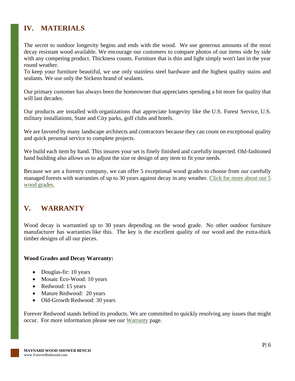# <span id="page-6-0"></span>**IV. MATERIALS**

The secret to outdoor longevity begins and ends with the wood. We use generous amounts of the most decay resistant wood available. We encourage our customers to compare photos of our items side by side with any competing product. Thickness counts. Furniture that is thin and light simply won't last in the year round weather.

To keep your furniture beautiful, we use only stainless steel hardware and the highest quality stains and sealants. We use only the Sickens brand of sealants.

Our primary customer has always been the homeowner that appreciates spending a bit more for quality that will last decades.

Our products are installed with organizations that appreciate longevity like the U.S. Forest Service, U.S. military installations, State and City parks, golf clubs and hotels.

We are favored by many landscape architects and contractors because they can count on exceptional quality and quick personal service to complete projects.

We build each item by hand. This insures your set is finely finished and carefully inspected. Old-fashioned hand building also allows us to adjust the size or design of any item to fit your needs.

Because we are a forestry company, we can offer 5 exceptional wood grades to choose from our carefully managed forests with warranties of up to 30 years against decay in any weather. [Click for more about our 5](https://www.foreverredwood.com/redwood-furniture/wood-grade/)  [wood grades.](https://www.foreverredwood.com/redwood-furniture/wood-grade/)

# <span id="page-6-1"></span>**V. WARRANTY**

Wood decay is warrantied up to 30 years depending on the wood grade. No other outdoor furniture manufacturer has warranties like this. The key is the excellent quality of our wood and the extra-thick timber designs of all our pieces.

#### **Wood Grades and Decay Warranty:**

- Douglas-fir: 10 years
- Mosaic Eco-Wood: 10 years
- Redwood: 15 years
- Mature Redwood: 20 years
- Old-Growth Redwood: 30 years

Forever Redwood stands behind its products. We are committed to quickly resolving any issues that might occur. For more information please see our [Warranty](https://www.foreverredwood.com/redwood-furniture/warranty) page.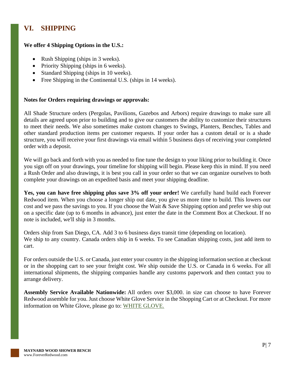# <span id="page-7-0"></span>**VI. SHIPPING**

#### **We offer 4 Shipping Options in the U.S.:**

- Rush Shipping (ships in 3 weeks).
- Priority Shipping (ships in 6 weeks).
- Standard Shipping (ships in 10 weeks).
- Free Shipping in the Continental U.S. (ships in 14 weeks).

#### **Notes for Orders requiring drawings or approvals:**

All Shade Structure orders (Pergolas, Pavilions, Gazebos and Arbors) require drawings to make sure all details are agreed upon prior to building and to give our customers the ability to customize their structures to meet their needs. We also sometimes make custom changes to Swings, Planters, Benches, Tables and other standard production items per customer requests. If your order has a custom detail or is a shade structure, you will receive your first drawings via email within 5 business days of receiving your completed order with a deposit.

We will go back and forth with you as needed to fine tune the design to your liking prior to building it. Once you sign off on your drawings, your timeline for shipping will begin. Please keep this in mind. If you need a Rush Order and also drawings, it is best you call in your order so that we can organize ourselves to both complete your drawings on an expedited basis and meet your shipping deadline.

**Yes, you can have free shipping plus save 3% off your order!** We carefully hand build each Forever Redwood item. When you choose a longer ship out date, you give us more time to build. This lowers our cost and we pass the savings to you. If you choose the Wait & Save Shipping option and prefer we ship out on a specific date (up to 6 months in advance), just enter the date in the Comment Box at Checkout. If no note is included, we'll ship in 3 months.

Orders ship from San Diego, CA. Add 3 to 6 business days transit time (depending on location). We ship to any country. Canada orders ship in 6 weeks. To see Canadian shipping costs, just add item to cart.

For orders outside the U.S. or Canada, just enter your country in the shipping information section at checkout or in the shopping cart to see your freight cost. We ship outside the U.S. or Canada in 6 weeks. For all international shipments, the shipping companies handle any customs paperwork and then contact you to arrange delivery.

**Assembly Service Available Nationwide:** All orders over \$3,000. in size can choose to have Forever Redwood assemble for you. Just choose White Glove Service in the Shopping Cart or at Checkout. For more information on White Glove, please go to: [WHITE GLOVE.](https://www.foreverredwood.com/white-glove/)